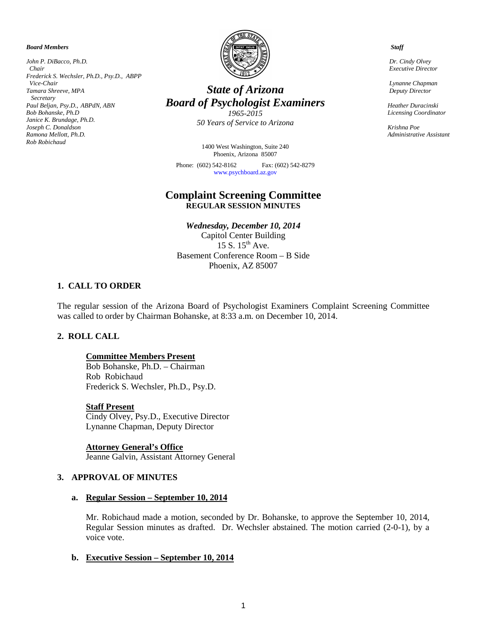*Board Members*

*John P. DiBacco, Ph.D. Chair Frederick S. Wechsler, Ph.D., Psy.D., ABPP Vice-Chair Tamara Shreeve, MPA Secretary Paul Beljan, Psy.D.*, *ABPdN, ABN Bob Bohanske, Ph.D Janice K. Brundage, Ph.D. Joseph C. Donaldson Ramona Mellott, Ph.D. Rob Robichaud*



# *State of Arizona Board of Psychologist Examiners*

*1965-2015 50 Years of Service to Arizona*

1400 West Washington, Suite 240 Phoenix, Arizona 85007

Phone: (602) 542-8162 Fax: (602) 542-8279 [www.psychboard.az.gov](http://www.psychboard.az.gov/) 

# **Complaint Screening Committee REGULAR SESSION MINUTES**

*Wednesday, December 10, 2014* Capitol Center Building 15 S.  $15<sup>th</sup>$  Ave. Basement Conference Room – B Side Phoenix, AZ 85007

# **1. CALL TO ORDER**

The regular session of the Arizona Board of Psychologist Examiners Complaint Screening Committee was called to order by Chairman Bohanske, at 8:33 a.m. on December 10, 2014.

## **2. ROLL CALL**

#### **Committee Members Present**

Bob Bohanske, Ph.D. – Chairman Rob Robichaud Frederick S. Wechsler, Ph.D., Psy.D.

**Staff Present** Cindy Olvey, Psy.D., Executive Director Lynanne Chapman, Deputy Director

**Attorney General's Office** Jeanne Galvin, Assistant Attorney General

#### **3. APPROVAL OF MINUTES**

#### **a. Regular Session – September 10, 2014**

Mr. Robichaud made a motion, seconded by Dr. Bohanske, to approve the September 10, 2014, Regular Session minutes as drafted. Dr. Wechsler abstained. The motion carried (2-0-1), by a voice vote.

#### **b. Executive Session – September 10, 2014**

 *Staff*

 *Dr. Cindy Olvey Executive Director*

 *Lynanne Chapman Deputy Director*

 *Heather Duracinski Licensing Coordinator* 

 *Krishna Poe Administrative Assistant*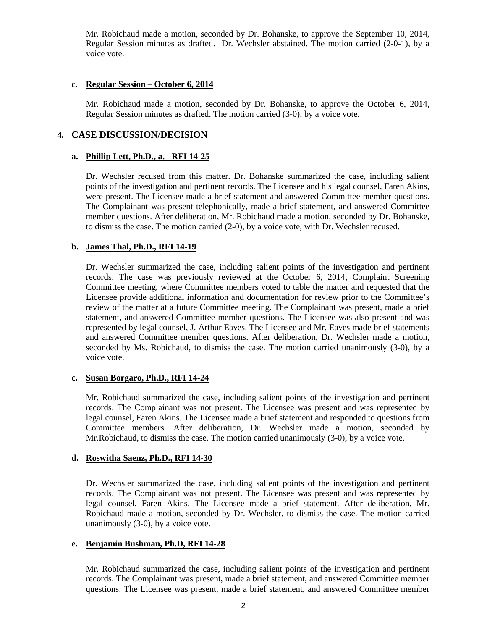Mr. Robichaud made a motion, seconded by Dr. Bohanske, to approve the September 10, 2014, Regular Session minutes as drafted. Dr. Wechsler abstained. The motion carried (2-0-1), by a voice vote.

#### **c. Regular Session – October 6, 2014**

Mr. Robichaud made a motion, seconded by Dr. Bohanske, to approve the October 6, 2014, Regular Session minutes as drafted. The motion carried (3-0), by a voice vote.

## **4. CASE DISCUSSION/DECISION**

## **a. Phillip Lett, Ph.D., a. RFI 14-25**

Dr. Wechsler recused from this matter. Dr. Bohanske summarized the case, including salient points of the investigation and pertinent records. The Licensee and his legal counsel, Faren Akins, were present. The Licensee made a brief statement and answered Committee member questions. The Complainant was present telephonically, made a brief statement, and answered Committee member questions. After deliberation, Mr. Robichaud made a motion, seconded by Dr. Bohanske, to dismiss the case. The motion carried (2-0), by a voice vote, with Dr. Wechsler recused.

## **b. James Thal, Ph.D., RFI 14-19**

Dr. Wechsler summarized the case, including salient points of the investigation and pertinent records. The case was previously reviewed at the October 6, 2014, Complaint Screening Committee meeting, where Committee members voted to table the matter and requested that the Licensee provide additional information and documentation for review prior to the Committee's review of the matter at a future Committee meeting. The Complainant was present, made a brief statement, and answered Committee member questions. The Licensee was also present and was represented by legal counsel, J. Arthur Eaves. The Licensee and Mr. Eaves made brief statements and answered Committee member questions. After deliberation, Dr. Wechsler made a motion, seconded by Ms. Robichaud, to dismiss the case. The motion carried unanimously (3-0), by a voice vote.

#### **c. Susan Borgaro, Ph.D., RFI 14-24**

Mr. Robichaud summarized the case, including salient points of the investigation and pertinent records. The Complainant was not present. The Licensee was present and was represented by legal counsel, Faren Akins. The Licensee made a brief statement and responded to questions from Committee members. After deliberation, Dr. Wechsler made a motion, seconded by Mr.Robichaud, to dismiss the case. The motion carried unanimously (3-0), by a voice vote.

## **d. Roswitha Saenz, Ph.D., RFI 14-30**

Dr. Wechsler summarized the case, including salient points of the investigation and pertinent records. The Complainant was not present. The Licensee was present and was represented by legal counsel, Faren Akins. The Licensee made a brief statement. After deliberation, Mr. Robichaud made a motion, seconded by Dr. Wechsler, to dismiss the case. The motion carried unanimously (3-0), by a voice vote.

## **e. Benjamin Bushman, Ph.D, RFI 14-28**

Mr. Robichaud summarized the case, including salient points of the investigation and pertinent records. The Complainant was present, made a brief statement, and answered Committee member questions. The Licensee was present, made a brief statement, and answered Committee member